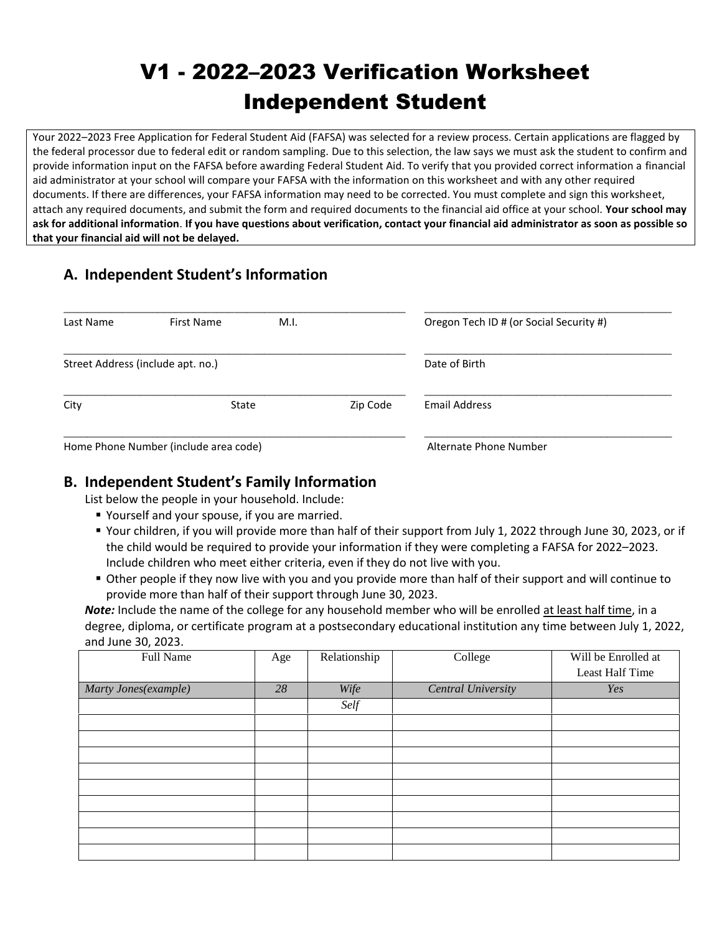# V1 - 2022–2023 Verification Worksheet Independent Student

Your 2022–2023 Free Application for Federal Student Aid (FAFSA) was selected for a review process. Certain applications are flagged by the federal processor due to federal edit or random sampling. Due to this selection, the law says we must ask the student to confirm and provide information input on the FAFSA before awarding Federal Student Aid. To verify that you provided correct information a financial aid administrator at your school will compare your FAFSA with the information on this worksheet and with any other required documents. If there are differences, your FAFSA information may need to be corrected. You must complete and sign this worksheet, attach any required documents, and submit the form and required documents to the financial aid office at your school. **Your school may ask for additional information**. **If you have questions about verification, contact your financial aid administrator as soon as possible so that your financial aid will not be delayed.**

## **A. Independent Student's Information**

| Last Name                             | First Name                        | M.I.          |          | Oregon Tech ID # (or Social Security #) |
|---------------------------------------|-----------------------------------|---------------|----------|-----------------------------------------|
|                                       | Street Address (include apt. no.) | Date of Birth |          |                                         |
| City                                  | State                             |               | Zip Code | Email Address                           |
| Home Phone Number (include area code) |                                   |               |          | Alternate Phone Number                  |

### **B. Independent Student's Family Information**

List below the people in your household. Include:

- **P** Yourself and your spouse, if you are married.
- Your children, if you will provide more than half of their support from July 1, 2022 through June 30, 2023, or if the child would be required to provide your information if they were completing a FAFSA for 2022–2023. Include children who meet either criteria, even if they do not live with you.
- Other people if they now live with you and you provide more than half of their support and will continue to provide more than half of their support through June 30, 2023.

*Note:* Include the name of the college for any household member who will be enrolled at least half time, in a degree, diploma, or certificate program at a postsecondary educational institution any time between July 1, 2022, and June 30, 2023.

| Full Name            | Age | Relationship | College            | Will be Enrolled at |
|----------------------|-----|--------------|--------------------|---------------------|
|                      |     |              |                    | Least Half Time     |
| Marty Jones(example) | 28  | Wife         | Central University | Yes                 |
|                      |     | Self         |                    |                     |
|                      |     |              |                    |                     |
|                      |     |              |                    |                     |
|                      |     |              |                    |                     |
|                      |     |              |                    |                     |
|                      |     |              |                    |                     |
|                      |     |              |                    |                     |
|                      |     |              |                    |                     |
|                      |     |              |                    |                     |
|                      |     |              |                    |                     |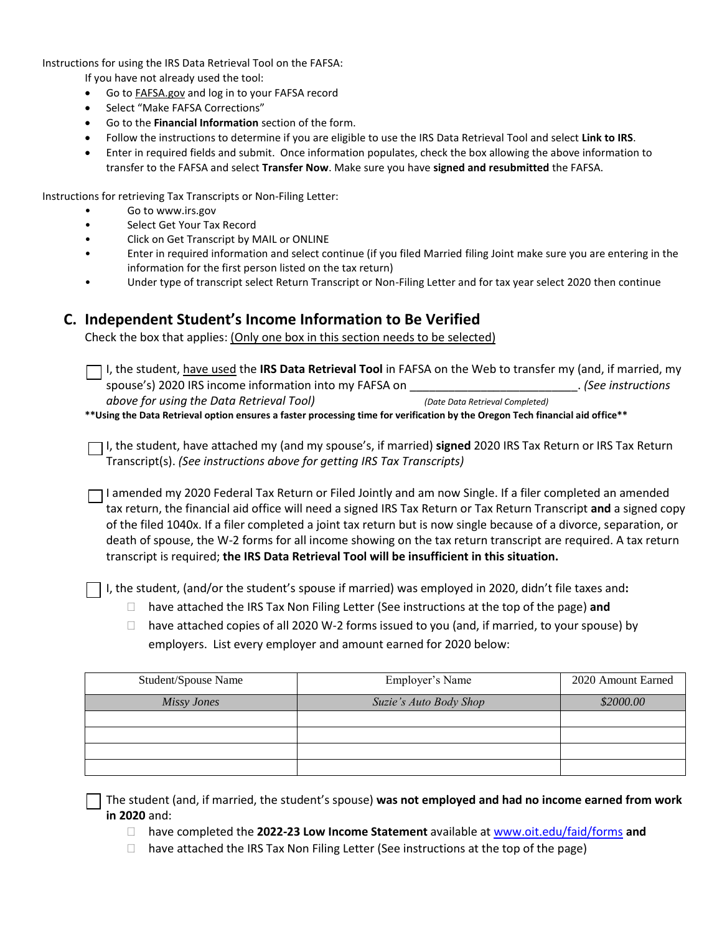Instructions for using the IRS Data Retrieval Tool on the FAFSA:

If you have not already used the tool:

- Go to FAFSA.gov and log in to your FAFSA record
- Select "Make FAFSA Corrections"
- Go to the **Financial Information** section of the form.
- Follow the instructions to determine if you are eligible to use the IRS Data Retrieval Tool and select **Link to IRS**.
- Enter in required fields and submit. Once information populates, check the box allowing the above information to transfer to the FAFSA and select **Transfer Now**. Make sure you have **signed and resubmitted** the FAFSA.

Instructions for retrieving Tax Transcripts or Non-Filing Letter:

- Go to www.irs.gov
- Select Get Your Tax Record
- Click on Get Transcript by MAIL or ONLINE
- Enter in required information and select continue (if you filed Married filing Joint make sure you are entering in the information for the first person listed on the tax return)
- Under type of transcript select Return Transcript or Non-Filing Letter and for tax year select 2020 then continue

#### **C. Independent Student's Income Information to Be Verified**

Check the box that applies: (Only one box in this section needs to be selected)

I, the student, have used the **IRS Data Retrieval Tool** in FAFSA on the Web to transfer my (and, if married, my spouse's) 2020 IRS income information into my FAFSA on \_\_\_\_\_\_\_\_\_\_\_\_\_\_\_\_\_\_\_\_\_\_\_\_\_\_. *(See instructions above for using the Data Retrieval Tool) (Date Data Retrieval Completed)*

**\*\*Using the Data Retrieval option ensures a faster processing time for verification by the Oregon Tech financial aid office\*\***

I, the student, have attached my (and my spouse's, if married) **signed** 2020 IRS Tax Return or IRS Tax Return Transcript(s). *(See instructions above for getting IRS Tax Transcripts)*

I amended my 2020 Federal Tax Return or Filed Jointly and am now Single. If a filer completed an amended tax return, the financial aid office will need a signed IRS Tax Return or Tax Return Transcript and a signed copy of the filed 1040x. If a filer completed a joint tax return but is now single because of a divorce, separation, or death of spouse, the W-2 forms for all income showing on the tax return transcript are required. A tax return transcript is required; **the IRS Data Retrieval Tool will be insufficient in this situation.**

I, the student, (and/or the student's spouse if married) was employed in 2020, didn't file taxes and**:**

- □ have attached the IRS Tax Non Filing Letter (See instructions at the top of the page) and
- $\Box$  have attached copies of all 2020 W-2 forms issued to you (and, if married, to your spouse) by employers. List every employer and amount earned for 2020 below:

| Student/Spouse Name | Employer's Name        | 2020 Amount Earned |
|---------------------|------------------------|--------------------|
| Missy Jones         | Suzie's Auto Body Shop | \$2000.00          |
|                     |                        |                    |
|                     |                        |                    |
|                     |                        |                    |
|                     |                        |                    |

The student (and, if married, the student's spouse) **was not employed and had no income earned from work in 2020** and:

- have completed the **2022-23 Low Income Statement** available a[t www.oit.edu/faid/forms](http://www.oit.edu/faid/forms) **and**
- $\Box$  have attached the IRS Tax Non Filing Letter (See instructions at the top of the page)